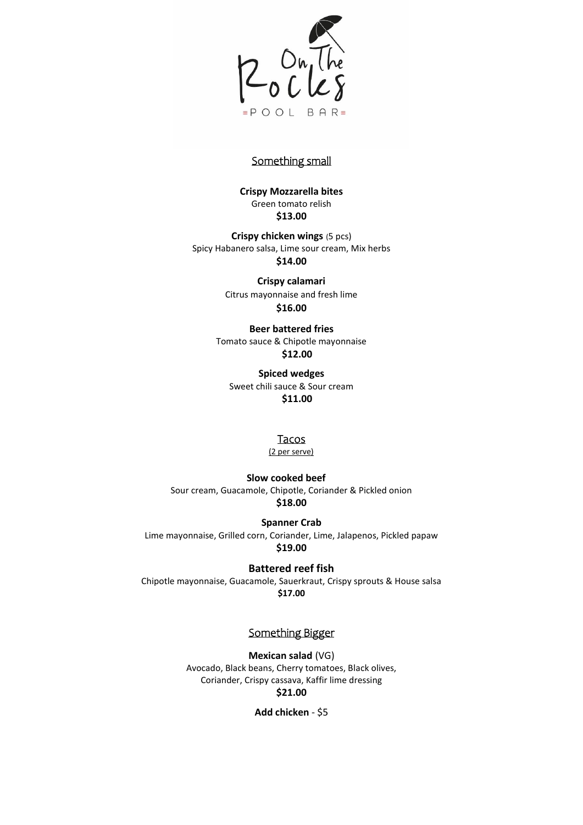

## Something small

**Crispy Mozzarella bites** Green tomato relish **\$13.00**

**Crispy chicken wings** (5 pcs) Spicy Habanero salsa, Lime sour cream, Mix herbs **\$14.00**

> **Crispy calamari** Citrus mayonnaise and fresh lime **\$16.00**

**Beer battered fries** Tomato sauce & Chipotle mayonnaise **\$12.00**

**Spiced wedges** Sweet chili sauce & Sour cream **\$11.00**

#### Tacos

(2 per serve)

**Slow cooked beef** Sour cream, Guacamole, Chipotle, Coriander & Pickled onion **\$18.00**

**Spanner Crab** Lime mayonnaise, Grilled corn, Coriander, Lime, Jalapenos, Pickled papaw **\$19.00**

**Battered reef fish** Chipotle mayonnaise, Guacamole, Sauerkraut, Crispy sprouts & House salsa **\$17.00**

# Something Bigger

**Mexican salad** (VG) Avocado, Black beans, Cherry tomatoes, Black olives, Coriander, Crispy cassava, Kaffir lime dressing **\$21.00**

**Add chicken** - \$5